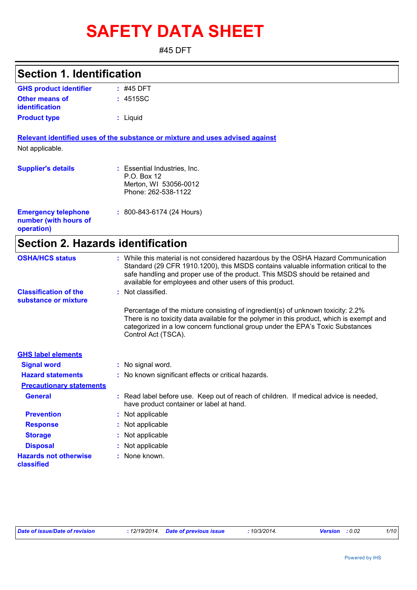# **SAFETY DATA SHEET**

#45 DFT

### **Section 1. Identification**

| <b>GHS product identifier</b> | $:$ #45 DFT |  |
|-------------------------------|-------------|--|
| <b>Other means of</b>         | : 4515SC    |  |
| identification                |             |  |
| <b>Product type</b>           | : Liguid    |  |

**Relevant identified uses of the substance or mixture and uses advised against** Not applicable.

| <b>Supplier's details</b>                                         | : Essential Industries, Inc.<br>P.O. Box 12<br>Merton, WI 53056-0012<br>Phone: 262-538-1122 |
|-------------------------------------------------------------------|---------------------------------------------------------------------------------------------|
| <b>Emergency telephone</b><br>number (with hours of<br>operation) | $: 800 - 843 - 6174$ (24 Hours)                                                             |

# **Section 2. Hazards identification**

| <b>OSHA/HCS status</b>                               | : While this material is not considered hazardous by the OSHA Hazard Communication                                                                                                                                                                                                   |
|------------------------------------------------------|--------------------------------------------------------------------------------------------------------------------------------------------------------------------------------------------------------------------------------------------------------------------------------------|
|                                                      | Standard (29 CFR 1910.1200), this MSDS contains valuable information critical to the<br>safe handling and proper use of the product. This MSDS should be retained and<br>available for employees and other users of this product.                                                    |
| <b>Classification of the</b><br>substance or mixture | : Not classified.                                                                                                                                                                                                                                                                    |
|                                                      | Percentage of the mixture consisting of ingredient(s) of unknown toxicity: 2.2%<br>There is no toxicity data available for the polymer in this product, which is exempt and<br>categorized in a low concern functional group under the EPA's Toxic Substances<br>Control Act (TSCA). |
| <b>GHS label elements</b>                            |                                                                                                                                                                                                                                                                                      |
| <b>Signal word</b>                                   | : No signal word.                                                                                                                                                                                                                                                                    |
| <b>Hazard statements</b>                             | : No known significant effects or critical hazards.                                                                                                                                                                                                                                  |
| <b>Precautionary statements</b>                      |                                                                                                                                                                                                                                                                                      |
| <b>General</b>                                       | : Read label before use. Keep out of reach of children. If medical advice is needed,<br>have product container or label at hand.                                                                                                                                                     |
| <b>Prevention</b>                                    | : Not applicable                                                                                                                                                                                                                                                                     |
| <b>Response</b>                                      | : Not applicable                                                                                                                                                                                                                                                                     |
| <b>Storage</b>                                       | : Not applicable                                                                                                                                                                                                                                                                     |
| <b>Disposal</b>                                      | : Not applicable                                                                                                                                                                                                                                                                     |
| <b>Hazards not otherwise</b><br>classified           | : None known.                                                                                                                                                                                                                                                                        |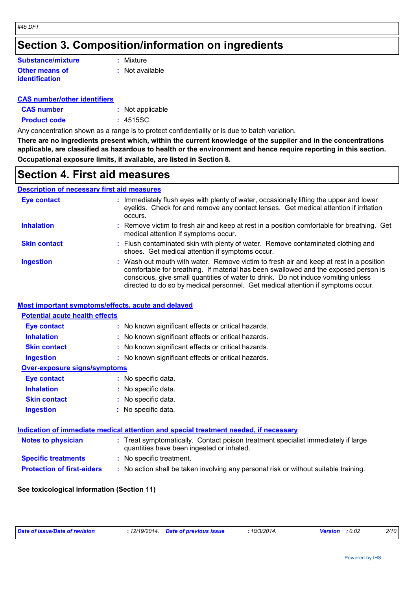### **Section 3. Composition/information on ingredients**

#### **Other means of identification Substance/mixture**

**:** Mixture

**:** Not available

#### **CAS number/other identifiers**

| <b>CAS number</b>   | : Not applicable |
|---------------------|------------------|
| <b>Product code</b> | : 4515SC         |

Any concentration shown as a range is to protect confidentiality or is due to batch variation.

**There are no ingredients present which, within the current knowledge of the supplier and in the concentrations applicable, are classified as hazardous to health or the environment and hence require reporting in this section. Occupational exposure limits, if available, are listed in Section 8.**

### **Section 4. First aid measures**

#### **Description of necessary first aid measures**

| <b>Eye contact</b>  | : Immediately flush eyes with plenty of water, occasionally lifting the upper and lower<br>eyelids. Check for and remove any contact lenses. Get medical attention if irritation<br>occurs.                                                                                                                                                            |
|---------------------|--------------------------------------------------------------------------------------------------------------------------------------------------------------------------------------------------------------------------------------------------------------------------------------------------------------------------------------------------------|
| <b>Inhalation</b>   | : Remove victim to fresh air and keep at rest in a position comfortable for breathing. Get<br>medical attention if symptoms occur.                                                                                                                                                                                                                     |
| <b>Skin contact</b> | : Flush contaminated skin with plenty of water. Remove contaminated clothing and<br>shoes. Get medical attention if symptoms occur.                                                                                                                                                                                                                    |
| <b>Ingestion</b>    | : Wash out mouth with water. Remove victim to fresh air and keep at rest in a position<br>comfortable for breathing. If material has been swallowed and the exposed person is<br>conscious, give small quantities of water to drink. Do not induce vomiting unless<br>directed to do so by medical personnel. Get medical attention if symptoms occur. |

#### **Most important symptoms/effects, acute and delayed**

| <b>Potential acute health effects</b> |                                                                                                                                |
|---------------------------------------|--------------------------------------------------------------------------------------------------------------------------------|
| Eye contact                           | : No known significant effects or critical hazards.                                                                            |
| <b>Inhalation</b>                     | : No known significant effects or critical hazards.                                                                            |
| <b>Skin contact</b>                   | : No known significant effects or critical hazards.                                                                            |
| <b>Ingestion</b>                      | : No known significant effects or critical hazards.                                                                            |
| <b>Over-exposure signs/symptoms</b>   |                                                                                                                                |
| Eye contact                           | : No specific data.                                                                                                            |
| <b>Inhalation</b>                     | : No specific data.                                                                                                            |
| <b>Skin contact</b>                   | : No specific data.                                                                                                            |
| <b>Ingestion</b>                      | : No specific data.                                                                                                            |
|                                       |                                                                                                                                |
|                                       | Indication of immediate medical attention and special treatment needed, if necessary                                           |
| Notes to physician                    | : Treat symptomatically. Contact poison treatment specialist immediately if large<br>quantities have been ingested or inhaled. |
| <b>Specific treatments</b>            | : No specific treatment.                                                                                                       |
| <b>Protection of first-aiders</b>     | : No action shall be taken involving any personal risk or without suitable training.                                           |
|                                       |                                                                                                                                |

#### **See toxicological information (Section 11)**

|--|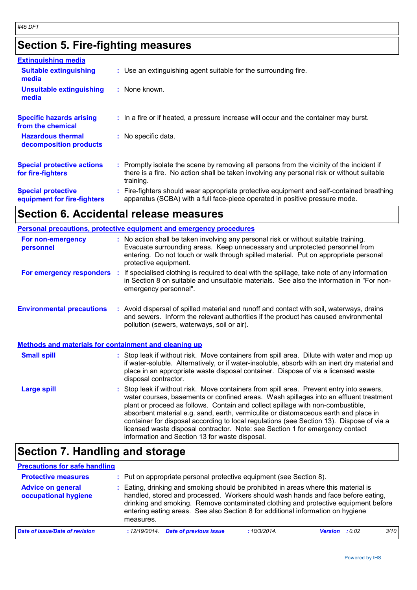# **Section 5. Fire-fighting measures**

| <b>Extinguishing media</b>                               |                                                                                                                                                                                                     |
|----------------------------------------------------------|-----------------------------------------------------------------------------------------------------------------------------------------------------------------------------------------------------|
| <b>Suitable extinguishing</b><br>media                   | : Use an extinguishing agent suitable for the surrounding fire.                                                                                                                                     |
| <b>Unsuitable extinguishing</b><br>media                 | : None known.                                                                                                                                                                                       |
| <b>Specific hazards arising</b><br>from the chemical     | : In a fire or if heated, a pressure increase will occur and the container may burst.                                                                                                               |
| <b>Hazardous thermal</b><br>decomposition products       | : No specific data.                                                                                                                                                                                 |
| <b>Special protective actions</b><br>for fire-fighters   | : Promptly isolate the scene by removing all persons from the vicinity of the incident if<br>there is a fire. No action shall be taken involving any personal risk or without suitable<br>training. |
| <b>Special protective</b><br>equipment for fire-fighters | : Fire-fighters should wear appropriate protective equipment and self-contained breathing<br>apparatus (SCBA) with a full face-piece operated in positive pressure mode.                            |

# **Section 6. Accidental release measures**

|                                                              |  | <b>Personal precautions, protective equipment and emergency procedures</b>                                                                                                                                                                                                                                                                                                                                                                                                                                                                                                                 |
|--------------------------------------------------------------|--|--------------------------------------------------------------------------------------------------------------------------------------------------------------------------------------------------------------------------------------------------------------------------------------------------------------------------------------------------------------------------------------------------------------------------------------------------------------------------------------------------------------------------------------------------------------------------------------------|
| For non-emergency<br>personnel                               |  | : No action shall be taken involving any personal risk or without suitable training.<br>Evacuate surrounding areas. Keep unnecessary and unprotected personnel from<br>entering. Do not touch or walk through spilled material. Put on appropriate personal<br>protective equipment.                                                                                                                                                                                                                                                                                                       |
| For emergency responders                                     |  | : If specialised clothing is required to deal with the spillage, take note of any information<br>in Section 8 on suitable and unsuitable materials. See also the information in "For non-<br>emergency personnel".                                                                                                                                                                                                                                                                                                                                                                         |
| <b>Environmental precautions</b>                             |  | : Avoid dispersal of spilled material and runoff and contact with soil, waterways, drains<br>and sewers. Inform the relevant authorities if the product has caused environmental<br>pollution (sewers, waterways, soil or air).                                                                                                                                                                                                                                                                                                                                                            |
| <b>Methods and materials for containment and cleaning up</b> |  |                                                                                                                                                                                                                                                                                                                                                                                                                                                                                                                                                                                            |
| <b>Small spill</b>                                           |  | : Stop leak if without risk. Move containers from spill area. Dilute with water and mop up<br>if water-soluble. Alternatively, or if water-insoluble, absorb with an inert dry material and<br>place in an appropriate waste disposal container. Dispose of via a licensed waste<br>disposal contractor.                                                                                                                                                                                                                                                                                   |
| <b>Large spill</b>                                           |  | : Stop leak if without risk. Move containers from spill area. Prevent entry into sewers,<br>water courses, basements or confined areas. Wash spillages into an effluent treatment<br>plant or proceed as follows. Contain and collect spillage with non-combustible,<br>absorbent material e.g. sand, earth, vermiculite or diatomaceous earth and place in<br>container for disposal according to local regulations (see Section 13). Dispose of via a<br>licensed waste disposal contractor. Note: see Section 1 for emergency contact<br>information and Section 13 for waste disposal. |

## **Section 7. Handling and storage**

| <b>Precautions for safe handling</b>             |                                                                                                                                                                                                                                                                                                                                                               |             |                |       |      |
|--------------------------------------------------|---------------------------------------------------------------------------------------------------------------------------------------------------------------------------------------------------------------------------------------------------------------------------------------------------------------------------------------------------------------|-------------|----------------|-------|------|
| <b>Protective measures</b>                       | : Put on appropriate personal protective equipment (see Section 8).                                                                                                                                                                                                                                                                                           |             |                |       |      |
| <b>Advice on general</b><br>occupational hygiene | : Eating, drinking and smoking should be prohibited in areas where this material is<br>handled, stored and processed. Workers should wash hands and face before eating,<br>drinking and smoking. Remove contaminated clothing and protective equipment before<br>entering eating areas. See also Section 8 for additional information on hygiene<br>measures. |             |                |       |      |
| Date of issue/Date of revision                   | <b>Date of previous issue</b><br>:12/19/2014.                                                                                                                                                                                                                                                                                                                 | :10/3/2014. | <b>Version</b> | :0.02 | 3/10 |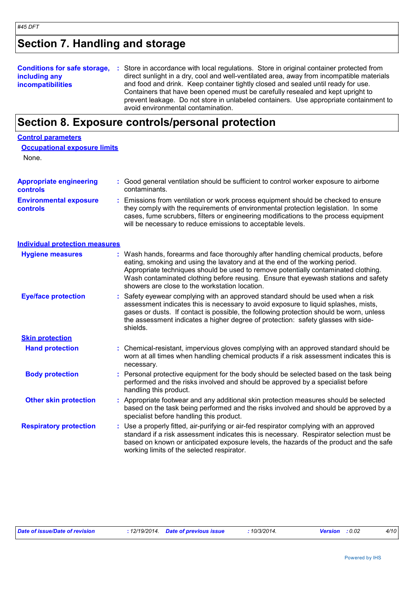**Control parameters**

# **Section 7. Handling and storage**

| including any<br><b>incompatibilities</b> | <b>Conditions for safe storage, :</b> Store in accordance with local regulations. Store in original container protected from<br>direct sunlight in a dry, cool and well-ventilated area, away from incompatible materials<br>and food and drink. Keep container tightly closed and sealed until ready for use.<br>Containers that have been opened must be carefully resealed and kept upright to<br>prevent leakage. Do not store in unlabeled containers. Use appropriate containment to |
|-------------------------------------------|--------------------------------------------------------------------------------------------------------------------------------------------------------------------------------------------------------------------------------------------------------------------------------------------------------------------------------------------------------------------------------------------------------------------------------------------------------------------------------------------|
|                                           | avoid environmental contamination.                                                                                                                                                                                                                                                                                                                                                                                                                                                         |

# **Section 8. Exposure controls/personal protection**

| <b>Occupational exposure limits</b>               |    |                                                                                                                                                                                                                                                                                                                                                                                                   |
|---------------------------------------------------|----|---------------------------------------------------------------------------------------------------------------------------------------------------------------------------------------------------------------------------------------------------------------------------------------------------------------------------------------------------------------------------------------------------|
| None.                                             |    |                                                                                                                                                                                                                                                                                                                                                                                                   |
| <b>Appropriate engineering</b><br><b>controls</b> |    | : Good general ventilation should be sufficient to control worker exposure to airborne<br>contaminants.                                                                                                                                                                                                                                                                                           |
| <b>Environmental exposure</b><br><b>controls</b>  |    | Emissions from ventilation or work process equipment should be checked to ensure<br>they comply with the requirements of environmental protection legislation. In some<br>cases, fume scrubbers, filters or engineering modifications to the process equipment<br>will be necessary to reduce emissions to acceptable levels.                                                                     |
| <b>Individual protection measures</b>             |    |                                                                                                                                                                                                                                                                                                                                                                                                   |
| <b>Hygiene measures</b>                           |    | : Wash hands, forearms and face thoroughly after handling chemical products, before<br>eating, smoking and using the lavatory and at the end of the working period.<br>Appropriate techniques should be used to remove potentially contaminated clothing.<br>Wash contaminated clothing before reusing. Ensure that eyewash stations and safety<br>showers are close to the workstation location. |
| <b>Eye/face protection</b>                        |    | Safety eyewear complying with an approved standard should be used when a risk<br>assessment indicates this is necessary to avoid exposure to liquid splashes, mists,<br>gases or dusts. If contact is possible, the following protection should be worn, unless<br>the assessment indicates a higher degree of protection: safety glasses with side-<br>shields.                                  |
| <b>Skin protection</b>                            |    |                                                                                                                                                                                                                                                                                                                                                                                                   |
| <b>Hand protection</b>                            |    | : Chemical-resistant, impervious gloves complying with an approved standard should be<br>worn at all times when handling chemical products if a risk assessment indicates this is<br>necessary.                                                                                                                                                                                                   |
| <b>Body protection</b>                            | ÷. | Personal protective equipment for the body should be selected based on the task being<br>performed and the risks involved and should be approved by a specialist before<br>handling this product.                                                                                                                                                                                                 |
| <b>Other skin protection</b>                      |    | : Appropriate footwear and any additional skin protection measures should be selected<br>based on the task being performed and the risks involved and should be approved by a<br>specialist before handling this product.                                                                                                                                                                         |
| <b>Respiratory protection</b>                     |    | Use a properly fitted, air-purifying or air-fed respirator complying with an approved<br>standard if a risk assessment indicates this is necessary. Respirator selection must be<br>based on known or anticipated exposure levels, the hazards of the product and the safe<br>working limits of the selected respirator.                                                                          |

| Date of issue/Date of revision | : 12/19/2014 Date of previous issue | 10/3/2014. | <b>Version</b> : 0.02 | 4/10 |
|--------------------------------|-------------------------------------|------------|-----------------------|------|
|                                |                                     |            |                       |      |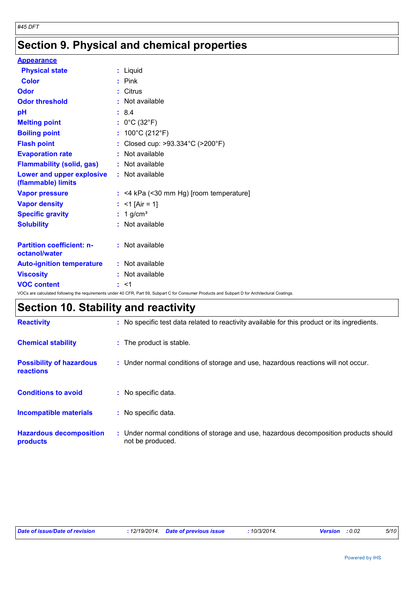# **Section 9. Physical and chemical properties**

| <b>Appearance</b>                                                                                                                               |                                           |  |  |
|-------------------------------------------------------------------------------------------------------------------------------------------------|-------------------------------------------|--|--|
| <b>Physical state</b>                                                                                                                           | : Liquid                                  |  |  |
| <b>Color</b>                                                                                                                                    | $:$ Pink                                  |  |  |
| Odor                                                                                                                                            | : Citrus                                  |  |  |
| <b>Odor threshold</b>                                                                                                                           | : Not available                           |  |  |
| рH                                                                                                                                              | : 8.4                                     |  |  |
| <b>Melting point</b>                                                                                                                            | : $0^{\circ}$ C (32 $^{\circ}$ F)         |  |  |
| <b>Boiling point</b>                                                                                                                            | : $100^{\circ}$ C (212 $^{\circ}$ F)      |  |  |
| <b>Flash point</b>                                                                                                                              | : Closed cup: >93.334°C (>200°F)          |  |  |
| <b>Evaporation rate</b>                                                                                                                         | : Not available                           |  |  |
| <b>Flammability (solid, gas)</b>                                                                                                                | : Not available                           |  |  |
| Lower and upper explosive<br>(flammable) limits                                                                                                 | : Not available                           |  |  |
| <b>Vapor pressure</b>                                                                                                                           | $:$ <4 kPa (<30 mm Hg) [room temperature] |  |  |
| <b>Vapor density</b>                                                                                                                            | : $<$ 1 [Air = 1]                         |  |  |
| <b>Specific gravity</b>                                                                                                                         | $: 1$ g/cm <sup>3</sup>                   |  |  |
| <b>Solubility</b>                                                                                                                               | : Not available                           |  |  |
| <b>Partition coefficient: n-</b><br>octanol/water                                                                                               | : Not available                           |  |  |
| <b>Auto-ignition temperature</b>                                                                                                                | : Not available                           |  |  |
| <b>Viscosity</b>                                                                                                                                | : Not available                           |  |  |
| <b>VOC content</b>                                                                                                                              | : <1                                      |  |  |
| VOCs are calculated following the requirements under 40 CFR, Part 59, Subpart C for Consumer Products and Subpart D for Architectural Coatings. |                                           |  |  |

# **Section 10. Stability and reactivity**

| <b>Reactivity</b>                                   | : No specific test data related to reactivity available for this product or its ingredients.              |
|-----------------------------------------------------|-----------------------------------------------------------------------------------------------------------|
| <b>Chemical stability</b>                           | : The product is stable.                                                                                  |
| <b>Possibility of hazardous</b><br><b>reactions</b> | : Under normal conditions of storage and use, hazardous reactions will not occur.                         |
| <b>Conditions to avoid</b>                          | : No specific data.                                                                                       |
| <b>Incompatible materials</b>                       | : No specific data.                                                                                       |
| <b>Hazardous decomposition</b><br>products          | : Under normal conditions of storage and use, hazardous decomposition products should<br>not be produced. |

| Date of issue/Date of revision | : 12/19/2014. Date of previous issue |  | $10/3/2014$ .<br><b>Version</b> : 0.02 |  | 5/10 |
|--------------------------------|--------------------------------------|--|----------------------------------------|--|------|
|--------------------------------|--------------------------------------|--|----------------------------------------|--|------|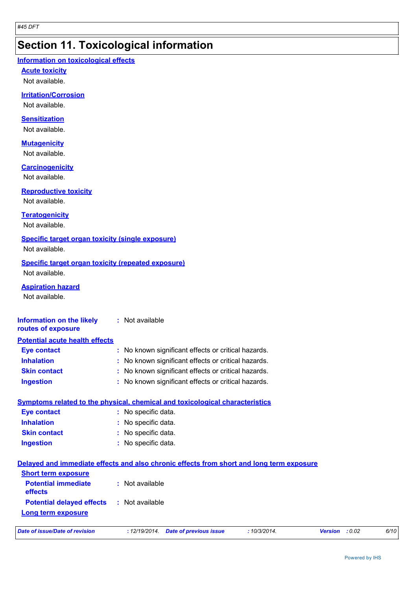### **Section 11. Toxicological information**

#### **Information on toxicological effects**

**Acute toxicity**

Not available.

#### **Irritation/Corrosion**

Not available.

#### **Sensitization**

Not available.

#### **Mutagenicity**

Not available.

#### **Carcinogenicity**

Not available.

#### **Reproductive toxicity**

Not available.

#### **Teratogenicity**

Not available.

#### **Specific target organ toxicity (single exposure)**

Not available.

#### **Specific target organ toxicity (repeated exposure)** Not available.

**Aspiration hazard**

Not available.

#### **Information on the likely routes of exposure :** Not available

| <b>Potential acute health effects</b> |                                                     |
|---------------------------------------|-----------------------------------------------------|
| <b>Eye contact</b>                    | : No known significant effects or critical hazards. |
| <b>Inhalation</b>                     | : No known significant effects or critical hazards. |
| <b>Skin contact</b>                   | : No known significant effects or critical hazards. |
| <b>Ingestion</b>                      | : No known significant effects or critical hazards. |

### **Symptoms related to the physical, chemical and toxicological characteristics**

| <b>Eye contact</b>  | : No specific data. |
|---------------------|---------------------|
| <b>Inhalation</b>   | : No specific data. |
| <b>Skin contact</b> | : No specific data. |
| <b>Ingestion</b>    | : No specific data. |

### **Delayed and immediate effects and also chronic effects from short and long term exposure**

| <b>Short term exposure</b>            |                 |
|---------------------------------------|-----------------|
| <b>Potential immediate</b><br>effects | : Not available |
| <b>Potential delayed effects</b>      | : Not available |
| Long term exposure                    |                 |

| Date of issue/Date of revision | : 12/19/2014 Date of previous issue |  | 10/3/2014. | <b>Version</b> : 0.02 | 6/10 |
|--------------------------------|-------------------------------------|--|------------|-----------------------|------|
|--------------------------------|-------------------------------------|--|------------|-----------------------|------|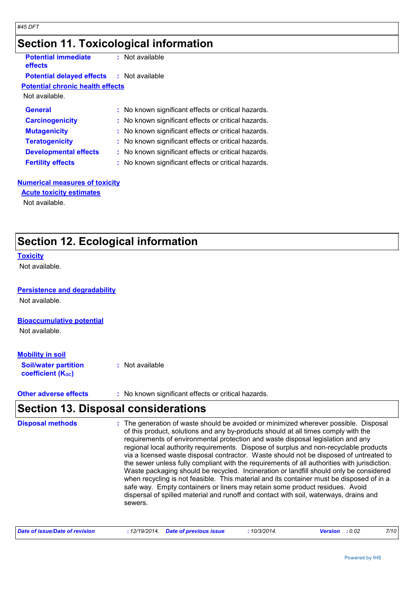### **Section 11. Toxicological information**

| <b>Potential immediate</b><br><b>effects</b>     | : Not available                                     |
|--------------------------------------------------|-----------------------------------------------------|
| <b>Potential delayed effects : Not available</b> |                                                     |
| <b>Potential chronic health effects</b>          |                                                     |
| Not available.                                   |                                                     |
| <b>General</b>                                   | : No known significant effects or critical hazards. |
| <b>Carcinogenicity</b>                           | : No known significant effects or critical hazards. |
| <b>Mutagenicity</b>                              | : No known significant effects or critical hazards. |
| <b>Teratogenicity</b>                            | : No known significant effects or critical hazards. |
| <b>Developmental effects</b>                     | : No known significant effects or critical hazards. |
| <b>Fertility effects</b>                         | : No known significant effects or critical hazards. |
|                                                  |                                                     |

### **Numerical measures of toxicity**

**Acute toxicity estimates**

Not available.

### **Section 12. Ecological information**

#### **Toxicity**

Not available.

#### **Persistence and degradability**

Not available.

#### **Bioaccumulative potential**

Not available.

#### **Mobility in soil**

| <b>Soil/water partition</b> | : Not available |
|-----------------------------|-----------------|
| <b>coefficient (Koc)</b>    |                 |

**Other adverse effects** : No known significant effects or critical hazards.

### **Section 13. Disposal considerations**

The generation of waste should be avoided or minimized wherever possible. Disposal of this product, solutions and any by-products should at all times comply with the requirements of environmental protection and waste disposal legislation and any regional local authority requirements. Dispose of surplus and non-recyclable products via a licensed waste disposal contractor. Waste should not be disposed of untreated to the sewer unless fully compliant with the requirements of all authorities with jurisdiction. Waste packaging should be recycled. Incineration or landfill should only be considered when recycling is not feasible. This material and its container must be disposed of in a safe way. Empty containers or liners may retain some product residues. Avoid dispersal of spilled material and runoff and contact with soil, waterways, drains and sewers. **Disposal methods :**

| Date of issue/Date of revision | : 12/19/2014 Date of previous issue | 10/3/2014. | <b>Version</b> : 0.02 | 7/10 |
|--------------------------------|-------------------------------------|------------|-----------------------|------|
|--------------------------------|-------------------------------------|------------|-----------------------|------|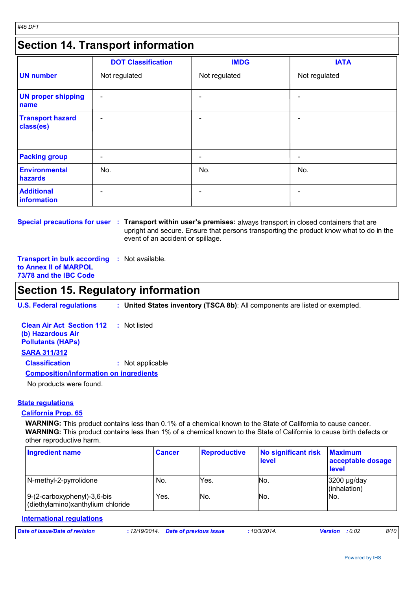### **Section 14. Transport information**

|                                      | <b>DOT Classification</b> | <b>IMDG</b>   | <b>IATA</b>              |
|--------------------------------------|---------------------------|---------------|--------------------------|
| <b>UN number</b>                     | Not regulated             | Not regulated | Not regulated            |
| <b>UN proper shipping</b><br>name    | $\overline{\phantom{a}}$  |               |                          |
| <b>Transport hazard</b><br>class(es) | $\overline{\phantom{a}}$  |               |                          |
| <b>Packing group</b>                 | $\overline{\phantom{a}}$  | -             | $\overline{\phantom{a}}$ |
| <b>Environmental</b><br>hazards      | No.                       | No.           | No.                      |
| <b>Additional</b><br>information     | $\qquad \qquad$           |               |                          |

**Special precautions for user : Transport within user's premises: always transport in closed containers that are** upright and secure. Ensure that persons transporting the product know what to do in the event of an accident or spillage.

**Transport in bulk according :** Not available. **to Annex II of MARPOL 73/78 and the IBC Code**

### **Section 15. Regulatory information**

**U.S. Federal regulations : United States inventory (TSCA 8b)**: All components are listed or exempted.

| <b>Clean Air Act Section 112 : Not listed</b><br>(b) Hazardous Air<br><b>Pollutants (HAPS)</b> |                  |  |  |  |
|------------------------------------------------------------------------------------------------|------------------|--|--|--|
| <b>SARA 311/312</b>                                                                            |                  |  |  |  |
| <b>Classification</b>                                                                          | : Not applicable |  |  |  |
| <b>Composition/information on ingredients</b>                                                  |                  |  |  |  |
| No products were found.                                                                        |                  |  |  |  |

#### **State regulations**

#### **California Prop. 65**

**WARNING:** This product contains less than 0.1% of a chemical known to the State of California to cause cancer. **WARNING:** This product contains less than 1% of a chemical known to the State of California to cause birth defects or other reproductive harm.

| <b>Ingredient name</b>                                             | <b>Cancer</b> | <b>Reproductive</b> | No significant risk<br>level | <b>Maximum</b><br>acceptable dosage<br><b>level</b> |
|--------------------------------------------------------------------|---------------|---------------------|------------------------------|-----------------------------------------------------|
| N-methyl-2-pyrrolidone                                             | No.           | Yes.                | No.                          | 3200 µg/day<br>(inhalation)                         |
| $9-(2-carboxyphenyl)-3,6-bis$<br>(diethylamino)xanthylium chloride | Yes.          | No.                 | No.                          | No.                                                 |

#### **International regulations** *Date of issue/Date of revision* **:** *12/19/2014. Date of previous issue : 10/3/2014. Version : 0.02 8/10*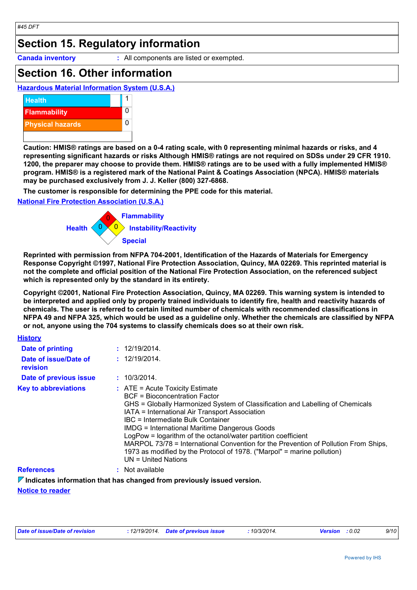### **Section 15. Regulatory information**

**Canada inventory :** All components are listed or exempted.

### **Section 16. Other information**

**Hazardous Material Information System (U.S.A.)**



**Caution: HMIS® ratings are based on a 0-4 rating scale, with 0 representing minimal hazards or risks, and 4 representing significant hazards or risks Although HMIS® ratings are not required on SDSs under 29 CFR 1910. 1200, the preparer may choose to provide them. HMIS® ratings are to be used with a fully implemented HMIS® program. HMIS® is a registered mark of the National Paint & Coatings Association (NPCA). HMIS® materials may be purchased exclusively from J. J. Keller (800) 327-6868.**

**The customer is responsible for determining the PPE code for this material.**

#### **National Fire Protection Association (U.S.A.)**



**Reprinted with permission from NFPA 704-2001, Identification of the Hazards of Materials for Emergency Response Copyright ©1997, National Fire Protection Association, Quincy, MA 02269. This reprinted material is not the complete and official position of the National Fire Protection Association, on the referenced subject which is represented only by the standard in its entirety.**

**Copyright ©2001, National Fire Protection Association, Quincy, MA 02269. This warning system is intended to be interpreted and applied only by properly trained individuals to identify fire, health and reactivity hazards of chemicals. The user is referred to certain limited number of chemicals with recommended classifications in NFPA 49 and NFPA 325, which would be used as a guideline only. Whether the chemicals are classified by NFPA or not, anyone using the 704 systems to classify chemicals does so at their own risk.**

| <b>History</b>                    |                                                                                                                                                                                                                                                                                                                                                                                                                                                                                                                                                                       |
|-----------------------------------|-----------------------------------------------------------------------------------------------------------------------------------------------------------------------------------------------------------------------------------------------------------------------------------------------------------------------------------------------------------------------------------------------------------------------------------------------------------------------------------------------------------------------------------------------------------------------|
| Date of printing                  | : 12/19/2014.                                                                                                                                                                                                                                                                                                                                                                                                                                                                                                                                                         |
| Date of issue/Date of<br>revision | : 12/19/2014.                                                                                                                                                                                                                                                                                                                                                                                                                                                                                                                                                         |
| Date of previous issue            | 10/3/2014.                                                                                                                                                                                                                                                                                                                                                                                                                                                                                                                                                            |
| <b>Key to abbreviations</b>       | $\therefore$ ATE = Acute Toxicity Estimate<br>BCF = Bioconcentration Factor<br>GHS = Globally Harmonized System of Classification and Labelling of Chemicals<br>IATA = International Air Transport Association<br>IBC = Intermediate Bulk Container<br><b>IMDG = International Maritime Dangerous Goods</b><br>LogPow = logarithm of the octanol/water partition coefficient<br>MARPOL 73/78 = International Convention for the Prevention of Pollution From Ships,<br>1973 as modified by the Protocol of 1978. ("Marpol" = marine pollution)<br>UN = United Nations |
| <b>References</b>                 | Not available                                                                                                                                                                                                                                                                                                                                                                                                                                                                                                                                                         |

**Indicates information that has changed from previously issued version.**

#### **Notice to reader**

| : 12/19/2014 Date of previous issue | Date of issue/Date of revision |  |  | 10/3/2014. | <b>Version</b> : 0.02 | 9/10 |
|-------------------------------------|--------------------------------|--|--|------------|-----------------------|------|
|-------------------------------------|--------------------------------|--|--|------------|-----------------------|------|